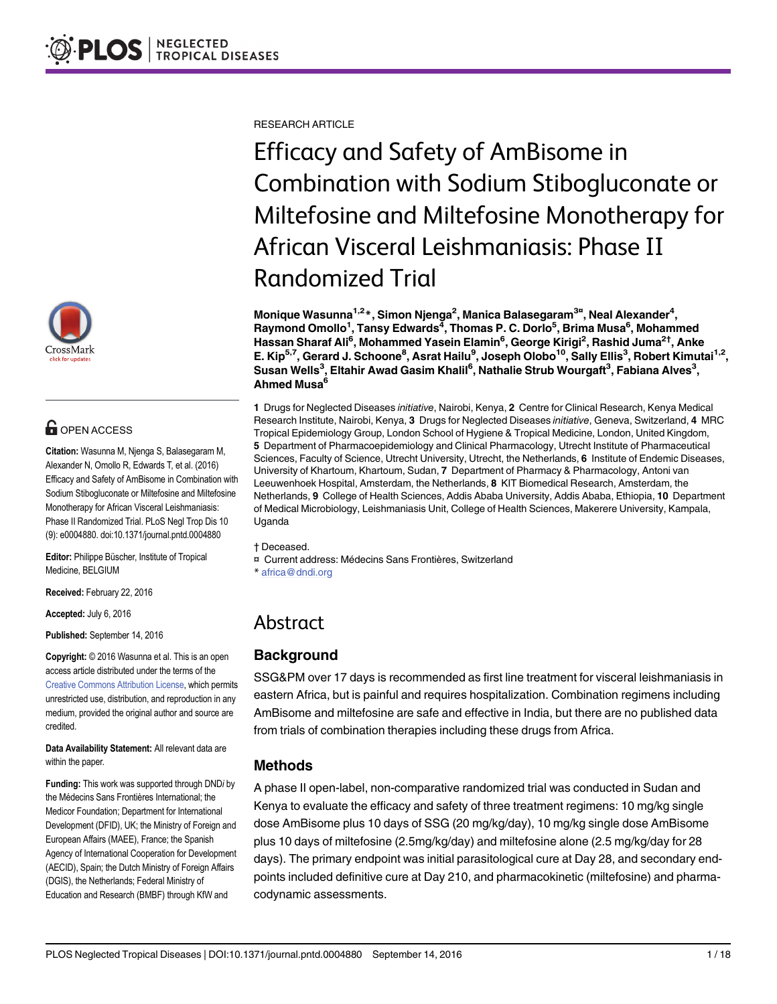

# **OPEN ACCESS**

Citation: Wasunna M, Njenga S, Balasegaram M, Alexander N, Omollo R, Edwards T, et al. (2016) Efficacy and Safety of AmBisome in Combination with Sodium Stibogluconate or Miltefosine and Miltefosine Monotherapy for African Visceral Leishmaniasis: Phase II Randomized Trial. PLoS Negl Trop Dis 10 (9): e0004880. doi:10.1371/journal.pntd.0004880

Editor: Philippe Büscher, Institute of Tropical Medicine, BELGIUM

Received: February 22, 2016

Accepted: July 6, 2016

Published: September 14, 2016

Copyright: © 2016 Wasunna et al. This is an open access article distributed under the terms of the [Creative Commons Attribution License,](http://creativecommons.org/licenses/by/4.0/) which permits unrestricted use, distribution, and reproduction in any medium, provided the original author and source are credited.

Data Availability Statement: All relevant data are within the paper.

Funding: This work was supported through DNDi by the Médecins Sans Frontières International; the Medicor Foundation; Department for International Development (DFID), UK; the Ministry of Foreign and European Affairs (MAEE), France; the Spanish Agency of International Cooperation for Development (AECID), Spain; the Dutch Ministry of Foreign Affairs (DGIS), the Netherlands; Federal Ministry of Education and Research (BMBF) through KfW and

RESEARCH ARTICLE

Efficacy and Safety of AmBisome in Combination with Sodium Stibogluconate or Miltefosine and Miltefosine Monotherapy for African Visceral Leishmaniasis: Phase II Randomized Trial

Monique Wasunna<sup>1,2</sup>\*, Simon Njenga<sup>2</sup>, Manica Balasegaram<sup>3¤</sup>, Neal Alexander<sup>4</sup>, Raymond Omollo<sup>1</sup>, Tansy Edwards<sup>4</sup>, Thomas P. C. Dorlo<sup>5</sup>, Brima Musa<sup>6</sup>, Mohammed Hassan Sharaf Ali<sup>6</sup>, Mohammed Yasein Elamin<sup>6</sup>, George Kirigi<sup>2</sup>, Rashid Juma<sup>2†</sup>, Anke E. Kip<sup>5,7</sup>, Gerard J. Schoone<sup>8</sup>, Asrat Hailu<sup>9</sup>, Joseph Olobo<sup>10</sup>, Sally Ellis<sup>3</sup>, Robert Kimutai<sup>1,2</sup>, Susan Wells $^3$ , Eltahir Awad Gasim Khalil $^6$ , Nathalie Strub Wourgaft $^3$ , Fabiana Alves $^3$ , Ahmed Musa<sup>6</sup>

1 Drugs for Neglected Diseases initiative, Nairobi, Kenya, 2 Centre for Clinical Research, Kenya Medical Research Institute, Nairobi, Kenya, 3 Drugs for Neglected Diseases initiative, Geneva, Switzerland, 4 MRC Tropical Epidemiology Group, London School of Hygiene & Tropical Medicine, London, United Kingdom, 5 Department of Pharmacoepidemiology and Clinical Pharmacology, Utrecht Institute of Pharmaceutical Sciences, Faculty of Science, Utrecht University, Utrecht, the Netherlands, 6 Institute of Endemic Diseases, University of Khartoum, Khartoum, Sudan, 7 Department of Pharmacy & Pharmacology, Antoni van Leeuwenhoek Hospital, Amsterdam, the Netherlands, 8 KIT Biomedical Research, Amsterdam, the Netherlands, 9 College of Health Sciences, Addis Ababa University, Addis Ababa, Ethiopia, 10 Department of Medical Microbiology, Leishmaniasis Unit, College of Health Sciences, Makerere University, Kampala, Uganda

#### † Deceased.

- ¤ Current address: Médecins Sans Frontières, Switzerland
- \* africa@dndi.org

# Abstract

# **Background**

SSG&PM over 17 days is recommended as first line treatment for visceral leishmaniasis in eastern Africa, but is painful and requires hospitalization. Combination regimens including AmBisome and miltefosine are safe and effective in India, but there are no published data from trials of combination therapies including these drugs from Africa.

# Methods

A phase II open-label, non-comparative randomized trial was conducted in Sudan and Kenya to evaluate the efficacy and safety of three treatment regimens: 10 mg/kg single dose AmBisome plus 10 days of SSG (20 mg/kg/day), 10 mg/kg single dose AmBisome plus 10 days of miltefosine (2.5mg/kg/day) and miltefosine alone (2.5 mg/kg/day for 28 days). The primary endpoint was initial parasitological cure at Day 28, and secondary endpoints included definitive cure at Day 210, and pharmacokinetic (miltefosine) and pharmacodynamic assessments.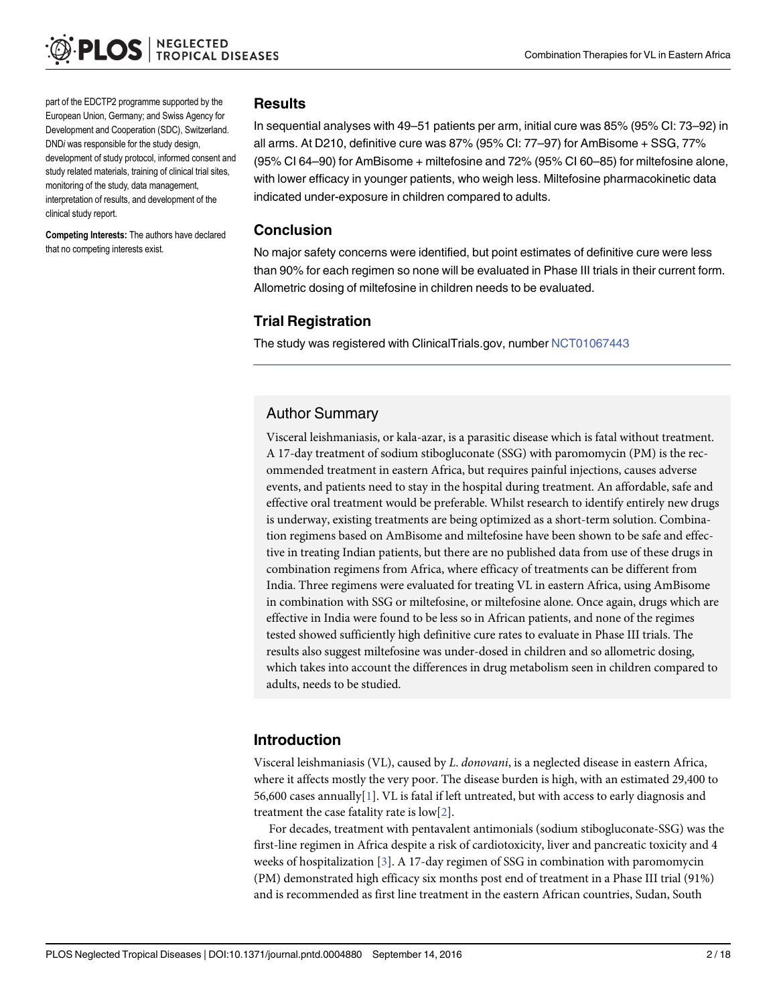<span id="page-1-0"></span>part of the EDCTP2 programme supported by the European Union, Germany; and Swiss Agency for Development and Cooperation (SDC), Switzerland. DNDi was responsible for the study design, development of study protocol, informed consent and study related materials, training of clinical trial sites, monitoring of the study, data management, interpretation of results, and development of the clinical study report.

Competing Interests: The authors have declared that no competing interests exist.

### **Results**

In sequential analyses with 49–51 patients per arm, initial cure was 85% (95% CI: 73–92) in all arms. At D210, definitive cure was 87% (95% CI: 77–97) for AmBisome + SSG, 77% (95% CI 64–90) for AmBisome + miltefosine and 72% (95% CI 60–85) for miltefosine alone, with lower efficacy in younger patients, who weigh less. Miltefosine pharmacokinetic data indicated under-exposure in children compared to adults.

### Conclusion

No major safety concerns were identified, but point estimates of definitive cure were less than 90% for each regimen so none will be evaluated in Phase III trials in their current form. Allometric dosing of miltefosine in children needs to be evaluated.

# Trial Registration

The study was registered with ClinicalTrials.gov, number [NCT01067443](https://clinicaltrials.gov/ct2/show/NCT01067443)

# Author Summary

Visceral leishmaniasis, or kala-azar, is a parasitic disease which is fatal without treatment. A 17-day treatment of sodium stibogluconate (SSG) with paromomycin (PM) is the recommended treatment in eastern Africa, but requires painful injections, causes adverse events, and patients need to stay in the hospital during treatment. An affordable, safe and effective oral treatment would be preferable. Whilst research to identify entirely new drugs is underway, existing treatments are being optimized as a short-term solution. Combination regimens based on AmBisome and miltefosine have been shown to be safe and effective in treating Indian patients, but there are no published data from use of these drugs in combination regimens from Africa, where efficacy of treatments can be different from India. Three regimens were evaluated for treating VL in eastern Africa, using AmBisome in combination with SSG or miltefosine, or miltefosine alone. Once again, drugs which are effective in India were found to be less so in African patients, and none of the regimes tested showed sufficiently high definitive cure rates to evaluate in Phase III trials. The results also suggest miltefosine was under-dosed in children and so allometric dosing, which takes into account the differences in drug metabolism seen in children compared to adults, needs to be studied.

# Introduction

Visceral leishmaniasis (VL), caused by L. donovani, is a neglected disease in eastern Africa, where it affects mostly the very poor. The disease burden is high, with an estimated 29,400 to 56,600 cases annually $[1]$  $[1]$ . VL is fatal if left untreated, but with access to early diagnosis and treatment the case fatality rate is  $\text{low[}2\text{]}$ .

For decades, treatment with pentavalent antimonials (sodium stibogluconate-SSG) was the first-line regimen in Africa despite a risk of cardiotoxicity, liver and pancreatic toxicity and 4 weeks of hospitalization [[3](#page-16-0)]. A 17-day regimen of SSG in combination with paromomycin (PM) demonstrated high efficacy six months post end of treatment in a Phase III trial (91%) and is recommended as first line treatment in the eastern African countries, Sudan, South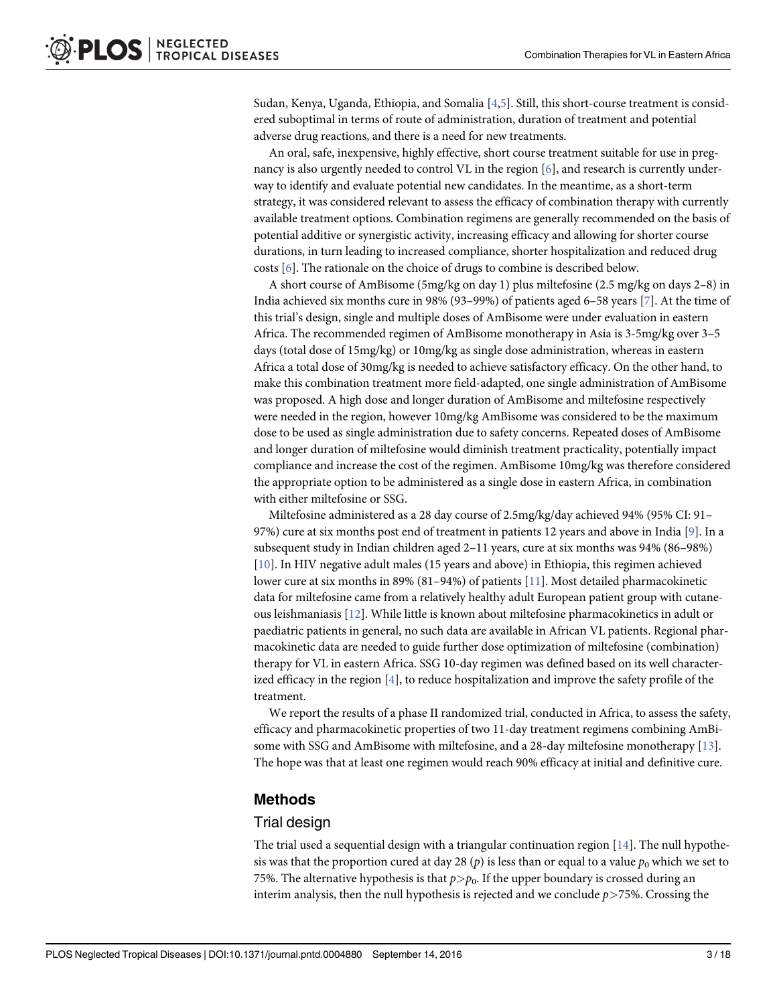<span id="page-2-0"></span>Sudan, Kenya, Uganda, Ethiopia, and Somalia [\[4,5](#page-16-0)]. Still, this short-course treatment is considered suboptimal in terms of route of administration, duration of treatment and potential adverse drug reactions, and there is a need for new treatments.

An oral, safe, inexpensive, highly effective, short course treatment suitable for use in pregnancy is also urgently needed to control VL in the region [[6\]](#page-16-0), and research is currently underway to identify and evaluate potential new candidates. In the meantime, as a short-term strategy, it was considered relevant to assess the efficacy of combination therapy with currently available treatment options. Combination regimens are generally recommended on the basis of potential additive or synergistic activity, increasing efficacy and allowing for shorter course durations, in turn leading to increased compliance, shorter hospitalization and reduced drug costs [\[6\]](#page-16-0). The rationale on the choice of drugs to combine is described below.

A short course of AmBisome (5mg/kg on day 1) plus miltefosine (2.5 mg/kg on days 2–8) in India achieved six months cure in 98% (93–99%) of patients aged 6–58 years [[7\]](#page-16-0). At the time of this trial's design, single and multiple doses of AmBisome were under evaluation in eastern Africa. The recommended regimen of AmBisome monotherapy in Asia is 3-5mg/kg over 3–5 days (total dose of 15mg/kg) or 10mg/kg as single dose administration, whereas in eastern Africa a total dose of 30mg/kg is needed to achieve satisfactory efficacy. On the other hand, to make this combination treatment more field-adapted, one single administration of AmBisome was proposed. A high dose and longer duration of AmBisome and miltefosine respectively were needed in the region, however 10mg/kg AmBisome was considered to be the maximum dose to be used as single administration due to safety concerns. Repeated doses of AmBisome and longer duration of miltefosine would diminish treatment practicality, potentially impact compliance and increase the cost of the regimen. AmBisome 10mg/kg was therefore considered the appropriate option to be administered as a single dose in eastern Africa, in combination with either miltefosine or SSG.

Miltefosine administered as a 28 day course of 2.5mg/kg/day achieved 94% (95% CI: 91– 97%) cure at six months post end of treatment in patients 12 years and above in India [[9\]](#page-16-0). In a subsequent study in Indian children aged 2–11 years, cure at six months was 94% (86–98%) [\[10](#page-16-0)]. In HIV negative adult males (15 years and above) in Ethiopia, this regimen achieved lower cure at six months in 89% (81–94%) of patients [[11](#page-16-0)]. Most detailed pharmacokinetic data for miltefosine came from a relatively healthy adult European patient group with cutaneous leishmaniasis [[12](#page-16-0)]. While little is known about miltefosine pharmacokinetics in adult or paediatric patients in general, no such data are available in African VL patients. Regional pharmacokinetic data are needed to guide further dose optimization of miltefosine (combination) therapy for VL in eastern Africa. SSG 10-day regimen was defined based on its well characterized efficacy in the region  $[4]$  $[4]$ , to reduce hospitalization and improve the safety profile of the treatment.

We report the results of a phase II randomized trial, conducted in Africa, to assess the safety, efficacy and pharmacokinetic properties of two 11-day treatment regimens combining AmBisome with SSG and AmBisome with miltefosine, and a 28-day miltefosine monotherapy [\[13\]](#page-16-0). The hope was that at least one regimen would reach 90% efficacy at initial and definitive cure.

### Methods

### Trial design

The trial used a sequential design with a triangular continuation region [\[14\]](#page-16-0). The null hypothesis was that the proportion cured at day 28 (p) is less than or equal to a value  $p_0$  which we set to 75%. The alternative hypothesis is that  $p > p_0$ . If the upper boundary is crossed during an interim analysis, then the null hypothesis is rejected and we conclude  $p$  > 75%. Crossing the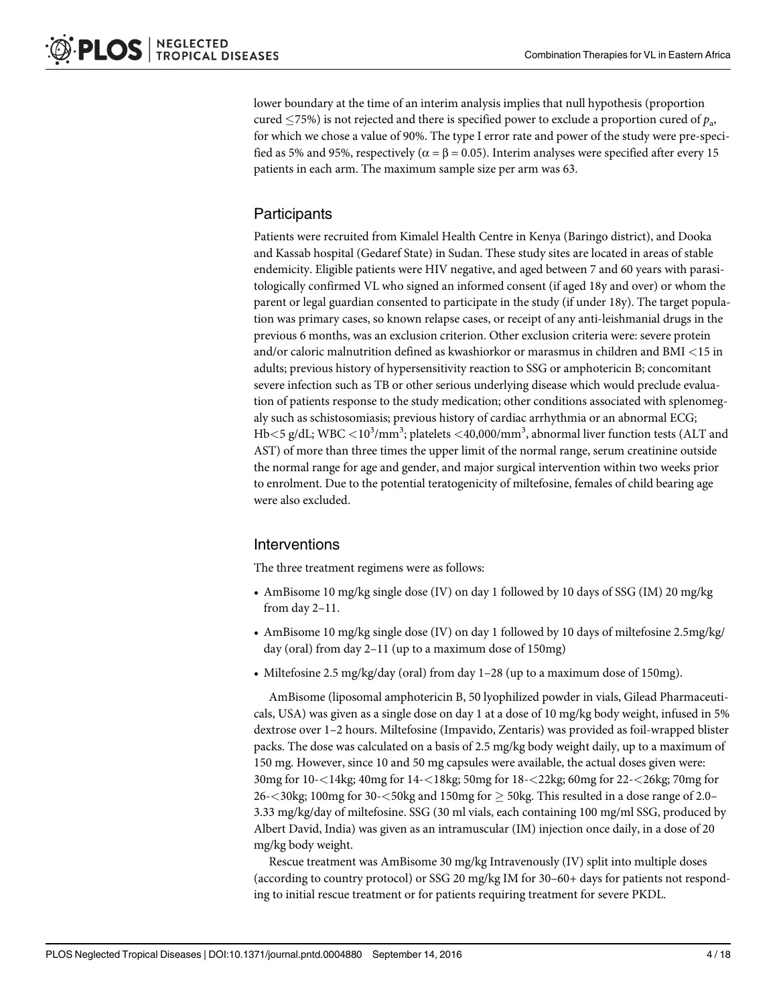lower boundary at the time of an interim analysis implies that null hypothesis (proportion cured  $\leq$ 75%) is not rejected and there is specified power to exclude a proportion cured of  $p_a$ , for which we chose a value of 90%. The type I error rate and power of the study were pre-specified as 5% and 95%, respectively ( $\alpha = \beta = 0.05$ ). Interim analyses were specified after every 15 patients in each arm. The maximum sample size per arm was 63.

# **Participants**

Patients were recruited from Kimalel Health Centre in Kenya (Baringo district), and Dooka and Kassab hospital (Gedaref State) in Sudan. These study sites are located in areas of stable endemicity. Eligible patients were HIV negative, and aged between 7 and 60 years with parasitologically confirmed VL who signed an informed consent (if aged 18y and over) or whom the parent or legal guardian consented to participate in the study (if under 18y). The target population was primary cases, so known relapse cases, or receipt of any anti-leishmanial drugs in the previous 6 months, was an exclusion criterion. Other exclusion criteria were: severe protein and/or caloric malnutrition defined as kwashiorkor or marasmus in children and BMI <15 in adults; previous history of hypersensitivity reaction to SSG or amphotericin B; concomitant severe infection such as TB or other serious underlying disease which would preclude evaluation of patients response to the study medication; other conditions associated with splenomegaly such as schistosomiasis; previous history of cardiac arrhythmia or an abnormal ECG; Hb $<$ 5 g/dL; WBC  $<$  10 $^3$ /mm $^3$ ; platelets  $<$  40,000/mm $^3$ , abnormal liver function tests (ALT and AST) of more than three times the upper limit of the normal range, serum creatinine outside the normal range for age and gender, and major surgical intervention within two weeks prior to enrolment. Due to the potential teratogenicity of miltefosine, females of child bearing age were also excluded.

# Interventions

The three treatment regimens were as follows:

- AmBisome 10 mg/kg single dose (IV) on day 1 followed by 10 days of SSG (IM) 20 mg/kg from day 2–11.
- AmBisome 10 mg/kg single dose (IV) on day 1 followed by 10 days of miltefosine 2.5mg/kg/ day (oral) from day 2–11 (up to a maximum dose of 150mg)
- Miltefosine 2.5 mg/kg/day (oral) from day 1–28 (up to a maximum dose of 150mg).

AmBisome (liposomal amphotericin B, 50 lyophilized powder in vials, Gilead Pharmaceuticals, USA) was given as a single dose on day 1 at a dose of 10 mg/kg body weight, infused in 5% dextrose over 1–2 hours. Miltefosine (Impavido, Zentaris) was provided as foil-wrapped blister packs. The dose was calculated on a basis of 2.5 mg/kg body weight daily, up to a maximum of 150 mg. However, since 10 and 50 mg capsules were available, the actual doses given were: 30mg for 10-<14kg; 40mg for 14-<18kg; 50mg for 18-<22kg; 60mg for 22-<26kg; 70mg for 26- $<$ 30kg; 100mg for 30- $<$ 50kg and 150mg for  $\geq$  50kg. This resulted in a dose range of 2.0– 3.33 mg/kg/day of miltefosine. SSG (30 ml vials, each containing 100 mg/ml SSG, produced by Albert David, India) was given as an intramuscular (IM) injection once daily, in a dose of 20 mg/kg body weight.

Rescue treatment was AmBisome 30 mg/kg Intravenously (IV) split into multiple doses (according to country protocol) or SSG 20 mg/kg IM for 30–60+ days for patients not responding to initial rescue treatment or for patients requiring treatment for severe PKDL.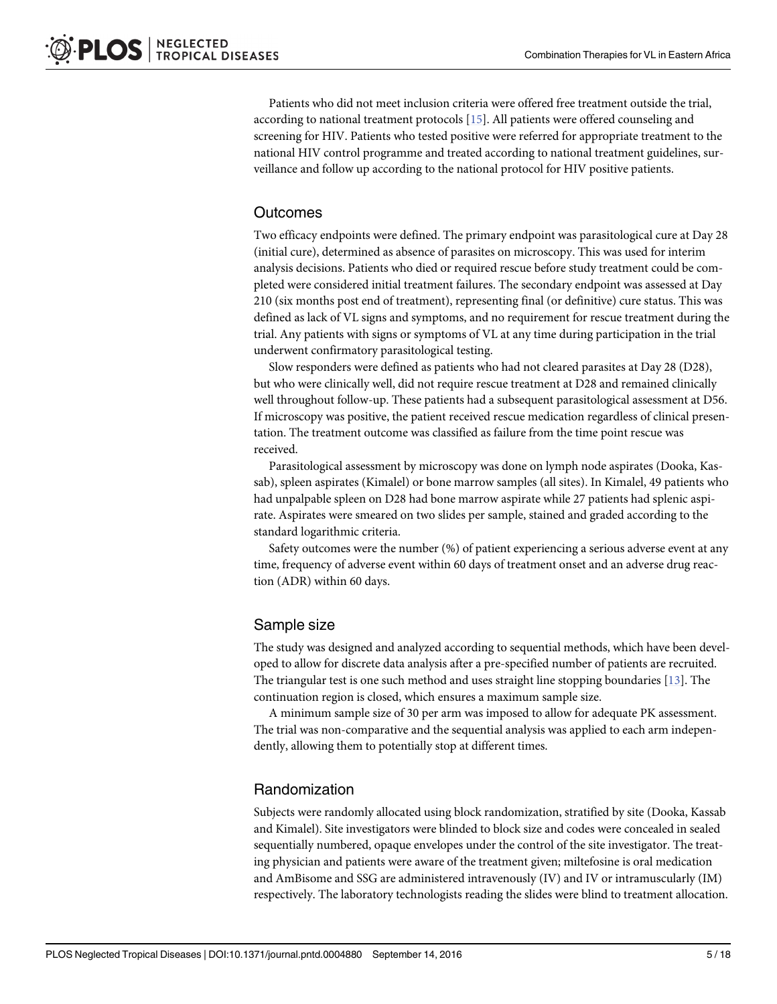<span id="page-4-0"></span>Patients who did not meet inclusion criteria were offered free treatment outside the trial, according to national treatment protocols [[15](#page-16-0)]. All patients were offered counseling and screening for HIV. Patients who tested positive were referred for appropriate treatment to the national HIV control programme and treated according to national treatment guidelines, surveillance and follow up according to the national protocol for HIV positive patients.

### **Outcomes**

Two efficacy endpoints were defined. The primary endpoint was parasitological cure at Day 28 (initial cure), determined as absence of parasites on microscopy. This was used for interim analysis decisions. Patients who died or required rescue before study treatment could be completed were considered initial treatment failures. The secondary endpoint was assessed at Day 210 (six months post end of treatment), representing final (or definitive) cure status. This was defined as lack of VL signs and symptoms, and no requirement for rescue treatment during the trial. Any patients with signs or symptoms of VL at any time during participation in the trial underwent confirmatory parasitological testing.

Slow responders were defined as patients who had not cleared parasites at Day 28 (D28), but who were clinically well, did not require rescue treatment at D28 and remained clinically well throughout follow-up. These patients had a subsequent parasitological assessment at D56. If microscopy was positive, the patient received rescue medication regardless of clinical presentation. The treatment outcome was classified as failure from the time point rescue was received.

Parasitological assessment by microscopy was done on lymph node aspirates (Dooka, Kassab), spleen aspirates (Kimalel) or bone marrow samples (all sites). In Kimalel, 49 patients who had unpalpable spleen on D28 had bone marrow aspirate while 27 patients had splenic aspirate. Aspirates were smeared on two slides per sample, stained and graded according to the standard logarithmic criteria.

Safety outcomes were the number (%) of patient experiencing a serious adverse event at any time, frequency of adverse event within 60 days of treatment onset and an adverse drug reaction (ADR) within 60 days.

### Sample size

The study was designed and analyzed according to sequential methods, which have been developed to allow for discrete data analysis after a pre-specified number of patients are recruited. The triangular test is one such method and uses straight line stopping boundaries  $[13]$  $[13]$  $[13]$ . The continuation region is closed, which ensures a maximum sample size.

A minimum sample size of 30 per arm was imposed to allow for adequate PK assessment. The trial was non-comparative and the sequential analysis was applied to each arm independently, allowing them to potentially stop at different times.

### Randomization

Subjects were randomly allocated using block randomization, stratified by site (Dooka, Kassab and Kimalel). Site investigators were blinded to block size and codes were concealed in sealed sequentially numbered, opaque envelopes under the control of the site investigator. The treating physician and patients were aware of the treatment given; miltefosine is oral medication and AmBisome and SSG are administered intravenously (IV) and IV or intramuscularly (IM) respectively. The laboratory technologists reading the slides were blind to treatment allocation.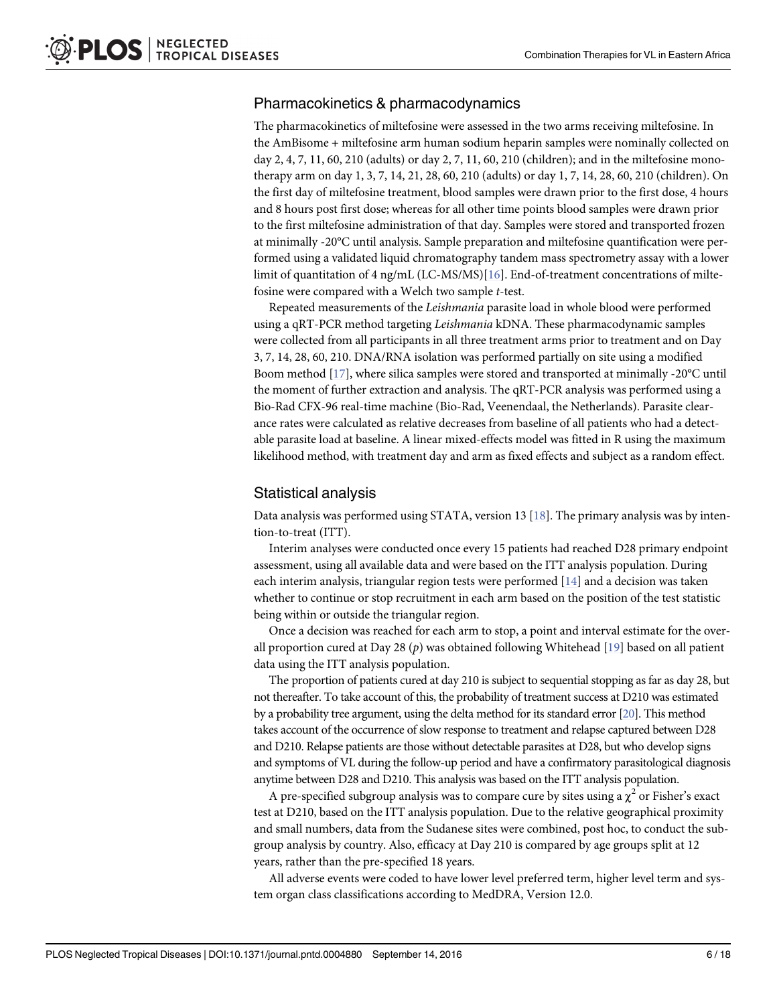# <span id="page-5-0"></span>Pharmacokinetics & pharmacodynamics

The pharmacokinetics of miltefosine were assessed in the two arms receiving miltefosine. In the AmBisome + miltefosine arm human sodium heparin samples were nominally collected on day 2, 4, 7, 11, 60, 210 (adults) or day 2, 7, 11, 60, 210 (children); and in the miltefosine monotherapy arm on day 1, 3, 7, 14, 21, 28, 60, 210 (adults) or day 1, 7, 14, 28, 60, 210 (children). On the first day of miltefosine treatment, blood samples were drawn prior to the first dose, 4 hours and 8 hours post first dose; whereas for all other time points blood samples were drawn prior to the first miltefosine administration of that day. Samples were stored and transported frozen at minimally -20°C until analysis. Sample preparation and miltefosine quantification were performed using a validated liquid chromatography tandem mass spectrometry assay with a lower limit of quantitation of 4 ng/mL (LC-MS/MS)[[16](#page-16-0)]. End-of-treatment concentrations of miltefosine were compared with a Welch two sample t-test.

Repeated measurements of the Leishmania parasite load in whole blood were performed using a qRT-PCR method targeting Leishmania kDNA. These pharmacodynamic samples were collected from all participants in all three treatment arms prior to treatment and on Day 3, 7, 14, 28, 60, 210. DNA/RNA isolation was performed partially on site using a modified Boom method [[17](#page-16-0)], where silica samples were stored and transported at minimally -20°C until the moment of further extraction and analysis. The qRT-PCR analysis was performed using a Bio-Rad CFX-96 real-time machine (Bio-Rad, Veenendaal, the Netherlands). Parasite clearance rates were calculated as relative decreases from baseline of all patients who had a detectable parasite load at baseline. A linear mixed-effects model was fitted in R using the maximum likelihood method, with treatment day and arm as fixed effects and subject as a random effect.

# Statistical analysis

Data analysis was performed using STATA, version 13  $[18]$  $[18]$  $[18]$ . The primary analysis was by intention-to-treat (ITT).

Interim analyses were conducted once every 15 patients had reached D28 primary endpoint assessment, using all available data and were based on the ITT analysis population. During each interim analysis, triangular region tests were performed [\[14\]](#page-16-0) and a decision was taken whether to continue or stop recruitment in each arm based on the position of the test statistic being within or outside the triangular region.

Once a decision was reached for each arm to stop, a point and interval estimate for the overall proportion cured at Day 28 (p) was obtained following Whitehead  $[19]$  based on all patient data using the ITT analysis population.

The proportion of patients cured at day 210 is subject to sequential stopping as far as day 28, but not thereafter. To take account of this, the probability of treatment success at D210 was estimated by a probability tree argument, using the delta method for its standard error [\[20](#page-17-0)]. This method takes account of the occurrence of slow response to treatment and relapse captured between D28 and D210. Relapse patients are those without detectable parasites at D28, but who develop signs and symptoms of VL during the follow-up period and have a confirmatory parasitological diagnosis anytime between D28 and D210. This analysis was based on the ITT analysis population.

A pre-specified subgroup analysis was to compare cure by sites using a  $\chi^2$  or Fisher's exact test at D210, based on the ITT analysis population. Due to the relative geographical proximity and small numbers, data from the Sudanese sites were combined, post hoc, to conduct the subgroup analysis by country. Also, efficacy at Day 210 is compared by age groups split at 12 years, rather than the pre-specified 18 years.

All adverse events were coded to have lower level preferred term, higher level term and system organ class classifications according to MedDRA, Version 12.0.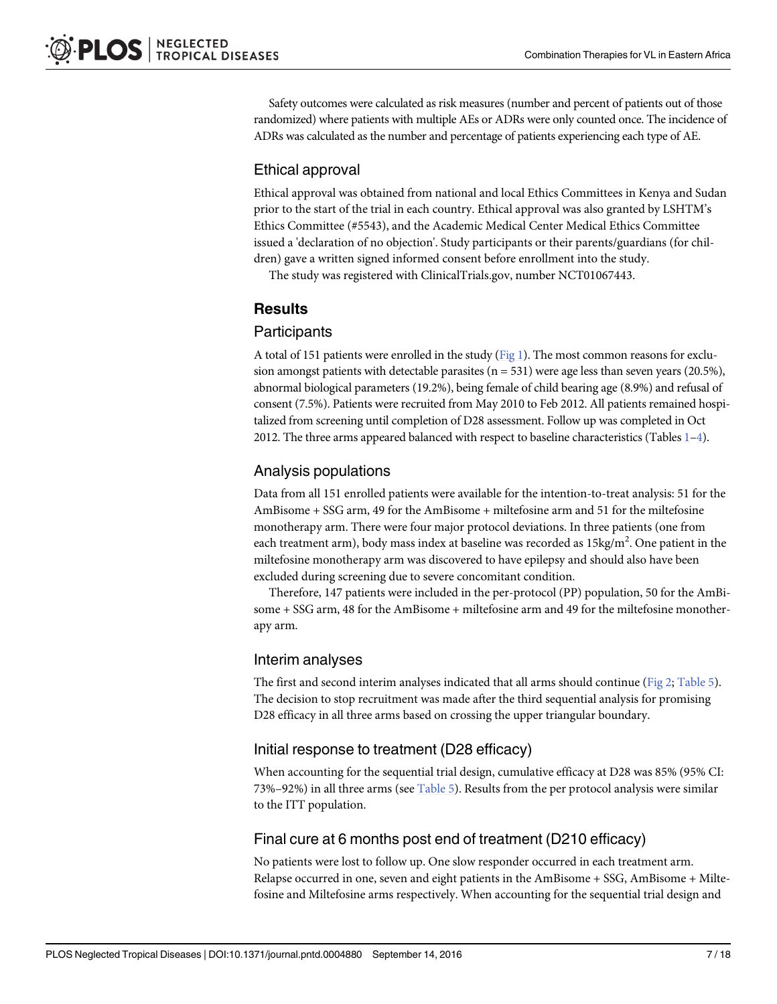<span id="page-6-0"></span>Safety outcomes were calculated as risk measures (number and percent of patients out of those randomized) where patients with multiple AEs or ADRs were only counted once. The incidence of ADRs was calculated as the number and percentage of patients experiencing each type of AE.

# Ethical approval

Ethical approval was obtained from national and local Ethics Committees in Kenya and Sudan prior to the start of the trial in each country. Ethical approval was also granted by LSHTM's Ethics Committee (#5543), and the Academic Medical Center Medical Ethics Committee issued a 'declaration of no objection'. Study participants or their parents/guardians (for children) gave a written signed informed consent before enrollment into the study.

The study was registered with ClinicalTrials.gov, number NCT01067443.

# **Results**

### **Participants**

A total of 151 patients were enrolled in the study  $(Fig 1)$  $(Fig 1)$  $(Fig 1)$ . The most common reasons for exclusion amongst patients with detectable parasites  $(n = 531)$  were age less than seven years (20.5%), abnormal biological parameters (19.2%), being female of child bearing age (8.9%) and refusal of consent (7.5%). Patients were recruited from May 2010 to Feb 2012. All patients remained hospitalized from screening until completion of D28 assessment. Follow up was completed in Oct 20[1](#page-7-0)2. The three arms appeared balanced with respect to baseline characteristics (Tables  $1-4$ ).

# Analysis populations

Data from all 151 enrolled patients were available for the intention-to-treat analysis: 51 for the AmBisome + SSG arm, 49 for the AmBisome + miltefosine arm and 51 for the miltefosine monotherapy arm. There were four major protocol deviations. In three patients (one from each treatment arm), body mass index at baseline was recorded as 15kg/m<sup>2</sup>. One patient in the miltefosine monotherapy arm was discovered to have epilepsy and should also have been excluded during screening due to severe concomitant condition.

Therefore, 147 patients were included in the per-protocol (PP) population, 50 for the AmBisome + SSG arm, 48 for the AmBisome + miltefosine arm and 49 for the miltefosine monotherapy arm.

# Interim analyses

The first and second interim analyses indicated that all arms should continue ([Fig 2](#page-10-0); [Table 5](#page-10-0)). The decision to stop recruitment was made after the third sequential analysis for promising D28 efficacy in all three arms based on crossing the upper triangular boundary.

# Initial response to treatment (D28 efficacy)

When accounting for the sequential trial design, cumulative efficacy at D28 was 85% (95% CI: 73%–92%) in all three arms (see  $Table 5$ ). Results from the per protocol analysis were similar to the ITT population.

# Final cure at 6 months post end of treatment (D210 efficacy)

No patients were lost to follow up. One slow responder occurred in each treatment arm. Relapse occurred in one, seven and eight patients in the AmBisome + SSG, AmBisome + Miltefosine and Miltefosine arms respectively. When accounting for the sequential trial design and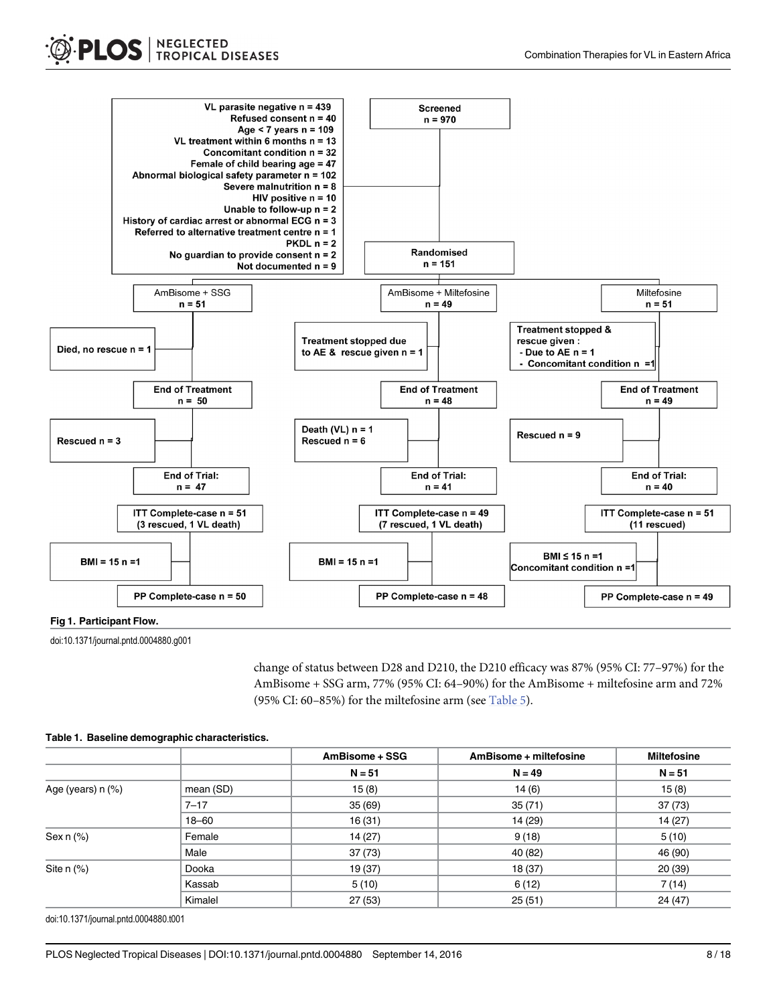<span id="page-7-0"></span>

[Fig 1.](#page-6-0) Participant Flow.

doi:10.1371/journal.pntd.0004880.g001

change of status between D28 and D210, the D210 efficacy was 87% (95% CI: 77–97%) for the AmBisome + SSG arm, 77% (95% CI: 64–90%) for the AmBisome + miltefosine arm and 72% (95% CI: 60–85%) for the miltefosine arm (see  $Table 5$ ).

|                       |           | AmBisome + SSG | AmBisome + miltefosine | <b>Miltefosine</b> |
|-----------------------|-----------|----------------|------------------------|--------------------|
|                       |           | $N = 51$       | $N = 49$               | $N = 51$           |
| Age (years) $n$ $%$ ) | mean (SD) | 15(8)          | 14(6)                  | 15(8)              |
|                       | $7 - 17$  | 35(69)         | 35(71)                 | 37(73)             |
|                       | $18 - 60$ | 16(31)         | 14 (29)                | 14(27)             |
| Sex $n$ $%$           | Female    | 14(27)         | 9(18)                  | 5(10)              |
|                       | Male      | 37(73)         | 40 (82)                | 46 (90)            |
| Site n (%)            | Dooka     | 19 (37)        | 18 (37)                | 20(39)             |
|                       | Kassab    | 5(10)          | 6(12)                  | 7(14)              |
|                       | Kimalel   | 27(53)         | 25(51)                 | 24 (47)            |

#### [Table 1.](#page-6-0) Baseline demographic characteristics.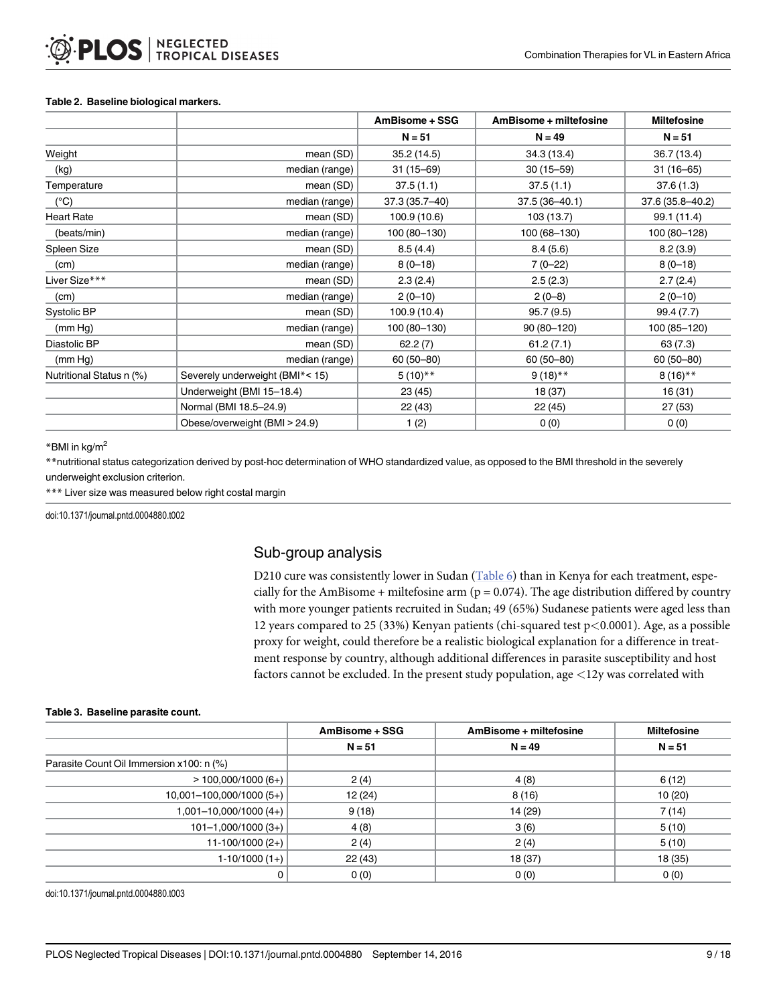#### <span id="page-8-0"></span>Table 2. Baseline biological markers.

|                          |                                 | AmBisome + SSG | AmBisome + miltefosine | <b>Miltefosine</b> |
|--------------------------|---------------------------------|----------------|------------------------|--------------------|
|                          |                                 | $N = 51$       | $N = 49$               | $N = 51$           |
| Weight                   | mean (SD)                       | 35.2(14.5)     | 34.3 (13.4)            | 36.7 (13.4)        |
| (kg)                     | median (range)                  | $31(15 - 69)$  | $30(15 - 59)$          | $31(16 - 65)$      |
| Temperature              | mean (SD)                       | 37.5(1.1)      | 37.5(1.1)              | 37.6(1.3)          |
| $(^{\circ}C)$            | median (range)                  | 37.3 (35.7-40) | 37.5 (36-40.1)         | 37.6 (35.8-40.2)   |
| <b>Heart Rate</b>        | mean (SD)                       | 100.9 (10.6)   | 103 (13.7)             | 99.1 (11.4)        |
| (beats/min)              | median (range)                  | 100 (80-130)   | 100 (68-130)           | 100 (80-128)       |
| Spleen Size              | mean (SD)                       | 8.5(4.4)       | 8.4(5.6)               | 8.2(3.9)           |
| (cm)                     | median (range)                  | $8(0-18)$      | $7(0-22)$              | $8(0-18)$          |
| Liver Size***            | mean (SD)                       | 2.3(2.4)       | 2.5(2.3)               | 2.7(2.4)           |
| (cm)                     | median (range)                  | $2(0-10)$      | $2(0-8)$               | $2(0-10)$          |
| Systolic BP              | mean (SD)                       | 100.9 (10.4)   | 95.7(9.5)              | 99.4 (7.7)         |
| (mm Hg)                  | median (range)                  | 100 (80-130)   | 90 (80-120)            | 100 (85-120)       |
| Diastolic BP             | mean (SD)                       | 62.2(7)        | 61.2(7.1)              | 63(7.3)            |
| (mm Hg)                  | median (range)                  | $60(50 - 80)$  | $60(50 - 80)$          | $60(50 - 80)$      |
| Nutritional Status n (%) | Severely underweight (BMI*< 15) | $5(10)$ **     | $9(18)$ **             | $8(16)$ **         |
|                          | Underweight (BMI 15-18.4)       | 23 (45)        | 18 (37)                | 16 (31)            |
|                          | Normal (BMI 18.5-24.9)          | 22 (43)        | 22 (45)                | 27(53)             |
|                          | Obese/overweight (BMI > 24.9)   | 1(2)           | 0(0)                   | 0(0)               |

\*BMI in kg/m2

\*\*nutritional status categorization derived by post-hoc determination of WHO standardized value, as opposed to the BMI threshold in the severely underweight exclusion criterion.

\*\*\* Liver size was measured below right costal margin

doi:10.1371/journal.pntd.0004880.t002

# Sub-group analysis

D210 cure was consistently lower in Sudan ([Table 6](#page-11-0)) than in Kenya for each treatment, especially for the AmBisome + miltefosine arm ( $p = 0.074$ ). The age distribution differed by country with more younger patients recruited in Sudan; 49 (65%) Sudanese patients were aged less than 12 years compared to 25 (33%) Kenyan patients (chi-squared test p<0.0001). Age, as a possible proxy for weight, could therefore be a realistic biological explanation for a difference in treatment response by country, although additional differences in parasite susceptibility and host factors cannot be excluded. In the present study population, age  $\langle 12y \rangle$  was correlated with

#### Table 3. Baseline parasite count.

|                                          | AmBisome + SSG | AmBisome + miltefosine | <b>Miltefosine</b> |
|------------------------------------------|----------------|------------------------|--------------------|
|                                          | $N = 51$       | $N = 49$               | $N = 51$           |
| Parasite Count Oil Immersion x100: n (%) |                |                        |                    |
| $> 100,000/1000(6+)$                     | 2(4)           | 4(8)                   | 6(12)              |
| 10,001-100,000/1000 (5+)                 | 12 (24)        | 8(16)                  | 10(20)             |
| 1,001-10,000/1000 (4+)                   | 9(18)          | 14 (29)                | 7(14)              |
| $101 - 1,000/1000(3+)$                   | 4(8)           | 3(6)                   | 5(10)              |
| $11-100/1000(2+)$                        | 2(4)           | 2(4)                   | 5(10)              |
| $1-10/1000(1+)$                          | 22(43)         | 18 (37)                | 18(35)             |
|                                          | 0(0)           | 0(0)                   | 0(0)               |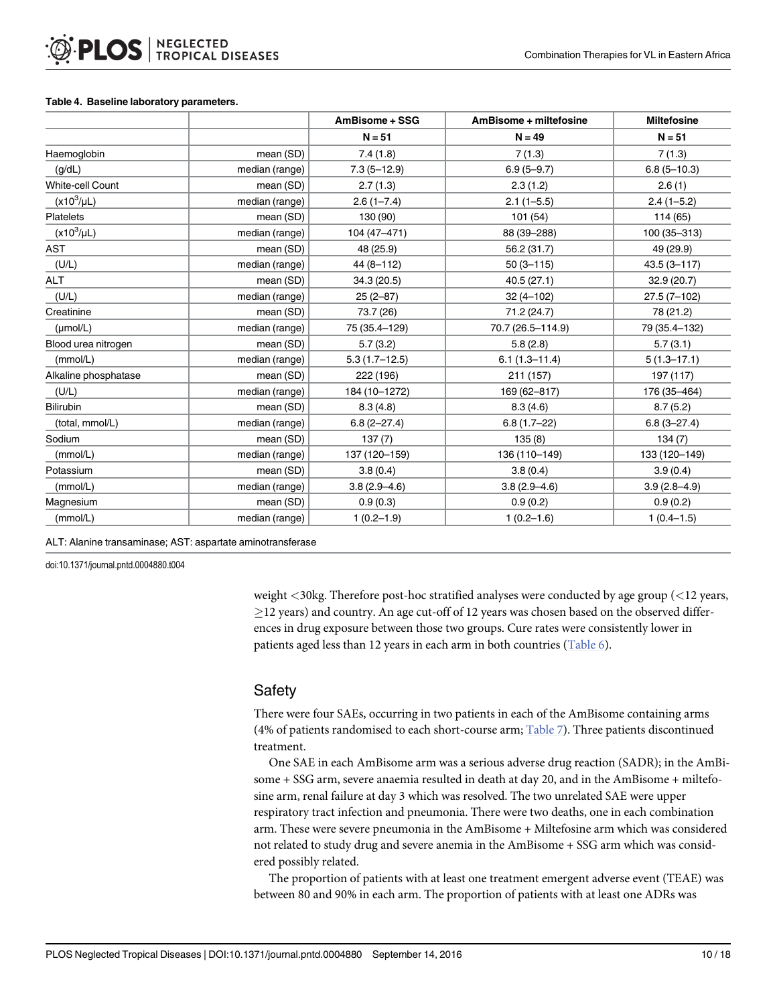#### <span id="page-9-0"></span>[Table 4.](#page-6-0) Baseline laboratory parameters.

|                         |                | AmBisome + SSG   | AmBisome + miltefosine | <b>Miltefosine</b> |
|-------------------------|----------------|------------------|------------------------|--------------------|
|                         |                | $N = 51$         | $N = 49$               | $N = 51$           |
| Haemoglobin             | mean (SD)      | 7.4(1.8)         | 7(1.3)                 | 7(1.3)             |
| (g/dL)                  | median (range) | $7.3(5 - 12.9)$  | $6.9(5 - 9.7)$         | $6.8(5 - 10.3)$    |
| <b>White-cell Count</b> | mean (SD)      | 2.7(1.3)         | 2.3(1.2)               | 2.6(1)             |
| $(x10^3/\mu L)$         | median (range) | $2.6(1 - 7.4)$   | $2.1(1 - 5.5)$         | $2.4(1-5.2)$       |
| <b>Platelets</b>        | mean (SD)      | 130 (90)         | 101(54)                | 114 (65)           |
| $(x10^3/\mu L)$         | median (range) | 104 (47-471)     | 88 (39-288)            | 100 (35-313)       |
| AST                     | mean (SD)      | 48 (25.9)        | 56.2 (31.7)            | 49 (29.9)          |
| (U/L)                   | median (range) | 44 (8-112)       | $50(3 - 115)$          | $43.5(3 - 117)$    |
| <b>ALT</b>              | mean (SD)      | 34.3(20.5)       | 40.5(27.1)             | 32.9(20.7)         |
| (U/L)                   | median (range) | $25(2-87)$       | $32(4 - 102)$          | $27.5(7-102)$      |
| Creatinine              | mean (SD)      | 73.7 (26)        | 71.2 (24.7)            | 78 (21.2)          |
| $(\mu \text{mol/L})$    | median (range) | 75 (35.4-129)    | 70.7 (26.5-114.9)      | 79 (35.4-132)      |
| Blood urea nitrogen     | mean (SD)      | 5.7(3.2)         | 5.8(2.8)               | 5.7(3.1)           |
| (mmol/L)                | median (range) | $5.3(1.7-12.5)$  | $6.1(1.3 - 11.4)$      | $5(1.3 - 17.1)$    |
| Alkaline phosphatase    | mean (SD)      | 222 (196)        | 211 (157)              | 197 (117)          |
| (U/L)                   | median (range) | 184 (10-1272)    | 169 (62-817)           | 176 (35-464)       |
| <b>Bilirubin</b>        | mean (SD)      | 8.3(4.8)         | 8.3(4.6)               | 8.7(5.2)           |
| (total, mmol/L)         | median (range) | $6.8(2 - 27.4)$  | $6.8(1.7-22)$          | $6.8(3 - 27.4)$    |
| Sodium                  | mean (SD)      | 137(7)           | 135(8)                 | 134(7)             |
| (mmol/L)                | median (range) | 137 (120-159)    | 136 (110-149)          | 133 (120-149)      |
| Potassium               | mean (SD)      | 3.8(0.4)         | 3.8(0.4)               | 3.9(0.4)           |
| (mmol/L)                | median (range) | $3.8(2.9 - 4.6)$ | $3.8(2.9 - 4.6)$       | $3.9(2.8 - 4.9)$   |
| Magnesium               | mean (SD)      | 0.9(0.3)         | 0.9(0.2)               | 0.9(0.2)           |
| (mmol/L)                | median (range) | $1(0.2 - 1.9)$   | $1(0.2 - 1.6)$         | $1(0.4 - 1.5)$     |

ALT: Alanine transaminase; AST: aspartate aminotransferase

doi:10.1371/journal.pntd.0004880.t004

weight <30kg. Therefore post-hoc stratified analyses were conducted by age group (<12 years,  $\geq$ 12 years) and country. An age cut-off of 12 years was chosen based on the observed differences in drug exposure between those two groups. Cure rates were consistently lower in patients aged less than 12 years in each arm in both countries [\(Table 6\)](#page-11-0).

# **Safety**

There were four SAEs, occurring in two patients in each of the AmBisome containing arms (4% of patients randomised to each short-course arm; [Table 7\)](#page-11-0). Three patients discontinued treatment.

One SAE in each AmBisome arm was a serious adverse drug reaction (SADR); in the AmBisome + SSG arm, severe anaemia resulted in death at day 20, and in the AmBisome + miltefosine arm, renal failure at day 3 which was resolved. The two unrelated SAE were upper respiratory tract infection and pneumonia. There were two deaths, one in each combination arm. These were severe pneumonia in the AmBisome + Miltefosine arm which was considered not related to study drug and severe anemia in the AmBisome + SSG arm which was considered possibly related.

The proportion of patients with at least one treatment emergent adverse event (TEAE) was between 80 and 90% in each arm. The proportion of patients with at least one ADRs was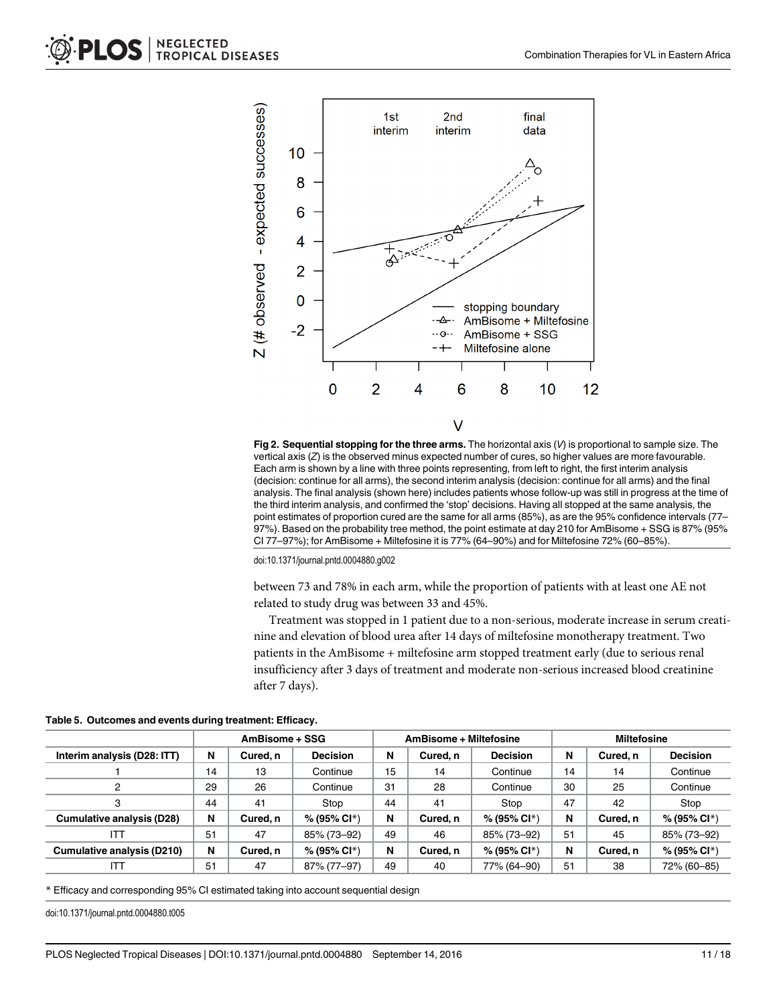<span id="page-10-0"></span>

[Fig 2. S](#page-6-0)equential stopping for the three arms. The horizontal axis  $(V)$  is proportional to sample size. The vertical axis (Z) is the observed minus expected number of cures, so higher values are more favourable. Each arm is shown by a line with three points representing, from left to right, the first interim analysis (decision: continue for all arms), the second interim analysis (decision: continue for all arms) and the final analysis. The final analysis (shown here) includes patients whose follow-up was still in progress at the time of the third interim analysis, and confirmed the 'stop' decisions. Having all stopped at the same analysis, the point estimates of proportion cured are the same for all arms (85%), as are the 95% confidence intervals (77– 97%). Based on the probability tree method, the point estimate at day 210 for AmBisome + SSG is 87% (95% CI 77–97%); for AmBisome + Miltefosine it is 77% (64–90%) and for Miltefosine 72% (60–85%).

doi:10.1371/journal.pntd.0004880.g002

between 73 and 78% in each arm, while the proportion of patients with at least one AE not related to study drug was between 33 and 45%.

Treatment was stopped in 1 patient due to a non-serious, moderate increase in serum creatinine and elevation of blood urea after 14 days of miltefosine monotherapy treatment. Two patients in the AmBisome + miltefosine arm stopped treatment early (due to serious renal insufficiency after 3 days of treatment and moderate non-serious increased blood creatinine after 7 days).

[Table 5.](#page-6-0) Outcomes and events during treatment: Efficacy.

|                             | AmBisome + SSG |                |                 | AmBisome + Miltefosine |          |                          | <b>Miltefosine</b> |          |                 |
|-----------------------------|----------------|----------------|-----------------|------------------------|----------|--------------------------|--------------------|----------|-----------------|
| Interim analysis (D28: ITT) | N              | Cured, n       | <b>Decision</b> | N                      | Cured.n  | <b>Decision</b>          | N                  | Cured, n | <b>Decision</b> |
|                             | 14             | 13             | Continue        | 15                     | 14       | Continue                 | 14                 | 14       | Continue        |
| 2                           | 29             | 26<br>Continue |                 | 31                     | 28       | Continue                 | 30                 | 25       | Continue        |
| 3                           | 44             | 41             | Stop            | 44                     | 41       | Stop                     | 47                 | 42       | Stop            |
| Cumulative analysis (D28)   | N              | Cured, n       | $% (95\% CI* )$ | N                      | Cured, n | % (95% Cl*)              | N                  | Cured, n | % (95% Cl*)     |
| IП                          | 51             | 47             | 85% (73-92)     | 49                     | 46       | 85% (73-92)              | 51                 | 45       | 85% (73-92)     |
| Cumulative analysis (D210)  | N              | Cured, n       | $% (95\% CI* )$ | N                      | Cured, n | % (95% Cl <sup>*</sup> ) | N                  | Cured, n | % (95% Cl*)     |
| IТ                          | 51             | 47             | 87% (77-97)     | 49                     | 40       | 77% (64-90)              | 51                 | 38       | 72% (60-85)     |

\* Efficacy and corresponding 95% CI estimated taking into account sequential design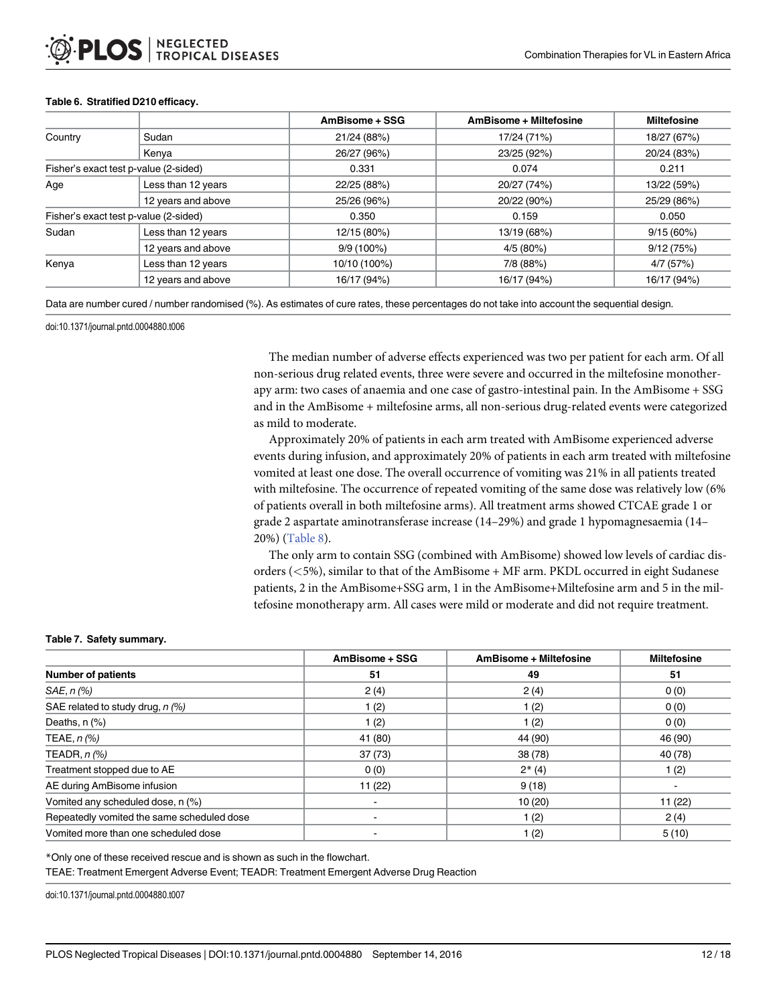|         |                                       | AmBisome + SSG | AmBisome + Miltefosine | <b>Miltefosine</b> |  |
|---------|---------------------------------------|----------------|------------------------|--------------------|--|
| Country | Sudan                                 | 21/24 (88%)    | 17/24 (71%)            | 18/27 (67%)        |  |
|         | Kenya                                 | 26/27 (96%)    | 23/25 (92%)            | 20/24 (83%)        |  |
|         | Fisher's exact test p-value (2-sided) | 0.331          | 0.074                  | 0.211              |  |
| Age     | Less than 12 years                    | 22/25 (88%)    | 20/27 (74%)            | 13/22 (59%)        |  |
|         | 12 years and above                    | 25/26 (96%)    | 20/22 (90%)            | 25/29 (86%)        |  |
|         | Fisher's exact test p-value (2-sided) | 0.350          | 0.159                  | 0.050              |  |
| Sudan   | Less than 12 years                    | 12/15 (80%)    | 13/19 (68%)            | 9/15(60%)          |  |
|         | 12 years and above                    | $9/9(100\%)$   | 4/5(80%)               | 9/12(75%)          |  |
| Kenya   | Less than 12 years                    | 10/10 (100%)   | 7/8 (88%)              | 4/7 (57%)          |  |
|         | 12 years and above                    | 16/17 (94%)    | 16/17 (94%)            | 16/17 (94%)        |  |

#### <span id="page-11-0"></span>[Table 6.](#page-8-0) Stratified D210 efficacy.

Data are number cured / number randomised (%). As estimates of cure rates, these percentages do not take into account the sequential design.

doi:10.1371/journal.pntd.0004880.t006

The median number of adverse effects experienced was two per patient for each arm. Of all non-serious drug related events, three were severe and occurred in the miltefosine monotherapy arm: two cases of anaemia and one case of gastro-intestinal pain. In the AmBisome + SSG and in the AmBisome + miltefosine arms, all non-serious drug-related events were categorized as mild to moderate.

Approximately 20% of patients in each arm treated with AmBisome experienced adverse events during infusion, and approximately 20% of patients in each arm treated with miltefosine vomited at least one dose. The overall occurrence of vomiting was 21% in all patients treated with miltefosine. The occurrence of repeated vomiting of the same dose was relatively low (6% of patients overall in both miltefosine arms). All treatment arms showed CTCAE grade 1 or grade 2 aspartate aminotransferase increase (14–29%) and grade 1 hypomagnesaemia (14– 20%) [\(Table 8](#page-12-0)).

The only arm to contain SSG (combined with AmBisome) showed low levels of cardiac disorders (<5%), similar to that of the AmBisome + MF arm. PKDL occurred in eight Sudanese patients, 2 in the AmBisome+SSG arm, 1 in the AmBisome+Miltefosine arm and 5 in the miltefosine monotherapy arm. All cases were mild or moderate and did not require treatment.

#### [Table 7.](#page-9-0) Safety summary.

|                                            | AmBisome + SSG | AmBisome + Miltefosine | <b>Miltefosine</b> |
|--------------------------------------------|----------------|------------------------|--------------------|
| <b>Number of patients</b>                  | 51             | 49                     | 51                 |
| SAE, n (%)                                 | 2(4)           | 2(4)                   | 0(0)               |
| SAE related to study drug, $n$ (%)         | 1(2)           | 1 (2)                  | 0(0)               |
| Deaths, $n$ $%$                            | 1 (2)          | 1(2)                   | 0(0)               |
| TEAE, $n$ $\left(\% \right)$               | 41 (80)        | 44 (90)                | 46 (90)            |
| TEADR, $n$ $%$                             | 37(73)         | 38 (78)                | 40 (78)            |
| Treatment stopped due to AE                | 0(0)           | $2*(4)$                | 1(2)               |
| AE during AmBisome infusion                | 11(22)         | 9(18)                  |                    |
| Vomited any scheduled dose, n (%)          |                | 10(20)                 | 11(22)             |
| Repeatedly vomited the same scheduled dose |                | 1 (2)                  | 2(4)               |
| Vomited more than one scheduled dose       |                | 1 (2)                  | 5(10)              |

\*Only one of these received rescue and is shown as such in the flowchart.

TEAE: Treatment Emergent Adverse Event; TEADR: Treatment Emergent Adverse Drug Reaction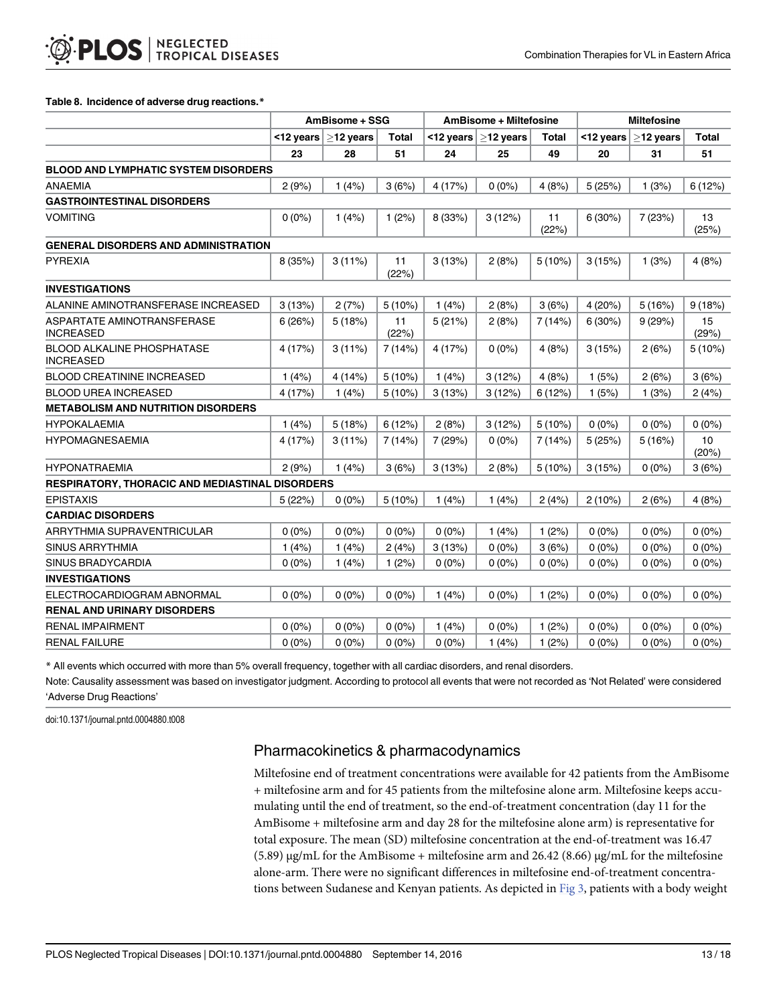#### <span id="page-12-0"></span>[Table 8.](#page-11-0) Incidence of adverse drug reactions.\*

|                                                        | AmBisome + SSG |                 |             | AmBisome + Miltefosine |             |             | <b>Miltefosine</b> |                 |             |
|--------------------------------------------------------|----------------|-----------------|-------------|------------------------|-------------|-------------|--------------------|-----------------|-------------|
|                                                        | <12 years      | $\geq$ 12 years | Total       | $\leq$ 12 years        | $>12$ years | Total       | <12 years          | $\geq$ 12 years | Total       |
|                                                        | 23             | 28              | 51          | 24                     | 25          | 49          | 20                 | 31              | 51          |
| <b>BLOOD AND LYMPHATIC SYSTEM DISORDERS</b>            |                |                 |             |                        |             |             |                    |                 |             |
| <b>ANAEMIA</b>                                         | 2(9%)          | 1(4%)           | 3(6%)       | 4 (17%)                | $0(0\%)$    | 4(8%)       | 5(25%)             | 1(3%)           | 6(12%)      |
| <b>GASTROINTESTINAL DISORDERS</b>                      |                |                 |             |                        |             |             |                    |                 |             |
| <b>VOMITING</b>                                        | $0(0\%)$       | 1(4%)           | 1(2%)       | 8 (33%)                | 3(12%)      | 11<br>(22%) | 6(30%)             | 7(23%)          | 13<br>(25%) |
| <b>GENERAL DISORDERS AND ADMINISTRATION</b>            |                |                 |             |                        |             |             |                    |                 |             |
| <b>PYREXIA</b>                                         | 8(35%)         | 3(11%)          | 11<br>(22%) | 3(13%)                 | 2(8%)       | 5(10%)      | 3(15%)             | 1(3%)           | 4(8%)       |
| <b>INVESTIGATIONS</b>                                  |                |                 |             |                        |             |             |                    |                 |             |
| ALANINE AMINOTRANSFERASE INCREASED                     | 3(13%)         | 2(7%)           | 5(10%)      | 1(4%)                  | 2(8%)       | 3(6%)       | 4(20%)             | 5(16%)          | 9(18%)      |
| ASPARTATE AMINOTRANSFERASE<br><b>INCREASED</b>         | 6(26%)         | 5(18%)          | 11<br>(22%) | 5(21%)                 | 2(8%)       | 7(14%)      | 6(30%)             | 9(29%)          | 15<br>(29%) |
| <b>BLOOD ALKALINE PHOSPHATASE</b><br><b>INCREASED</b>  | 4(17%)         | 3(11%)          | 7(14%)      | 4 (17%)                | $0(0\%)$    | 4(8%)       | 3(15%)             | 2(6%)           | $5(10\%)$   |
| <b>BLOOD CREATININE INCREASED</b>                      | 1(4%)          | 4(14%)          | 5(10%)      | 1(4%)                  | 3(12%)      | 4(8%)       | 1(5%)              | 2(6%)           | 3(6%)       |
| <b>BLOOD UREA INCREASED</b>                            | 4(17%)         | 1(4%)           | 5(10%)      | 3(13%)                 | 3(12%)      | 6(12%)      | 1(5%)              | 1(3%)           | 2(4%)       |
| <b>METABOLISM AND NUTRITION DISORDERS</b>              |                |                 |             |                        |             |             |                    |                 |             |
| <b>HYPOKALAEMIA</b>                                    | 1(4%)          | 5(18%)          | 6(12%)      | 2(8%)                  | 3(12%)      | 5(10%)      | $0(0\%)$           | $0(0\%)$        | $0(0\%)$    |
| <b>HYPOMAGNESAEMIA</b>                                 | 4(17%)         | 3(11%)          | 7(14%)      | 7(29%)                 | $0(0\%)$    | 7(14%)      | 5(25%)             | 5(16%)          | 10<br>(20%) |
| <b>HYPONATRAEMIA</b>                                   | 2(9%)          | 1(4%)           | 3(6%)       | 3(13%)                 | 2(8%)       | $5(10\%)$   | 3(15%)             | $0(0\%)$        | 3(6%)       |
| <b>RESPIRATORY, THORACIC AND MEDIASTINAL DISORDERS</b> |                |                 |             |                        |             |             |                    |                 |             |
| <b>EPISTAXIS</b>                                       | 5(22%)         | $0(0\%)$        | 5(10%)      | 1(4%)                  | 1(4%)       | 2(4%)       | 2(10%)             | 2(6%)           | 4(8%)       |
| <b>CARDIAC DISORDERS</b>                               |                |                 |             |                        |             |             |                    |                 |             |
| ARRYTHMIA SUPRAVENTRICULAR                             | $0(0\%)$       | $0(0\%)$        | $0(0\%)$    | $0(0\%)$               | 1(4%)       | 1(2%)       | $0(0\%)$           | $0(0\%)$        | $0(0\%)$    |
| <b>SINUS ARRYTHMIA</b>                                 | 1(4%)          | 1(4%)           | 2(4%)       | 3(13%)                 | $0(0\%)$    | 3(6%)       | $0(0\%)$           | $0(0\%)$        | $0(0\%)$    |
| SINUS BRADYCARDIA                                      | $0(0\%)$       | 1(4%)           | 1(2%)       | $0(0\%)$               | $0(0\%)$    | $0(0\%)$    | $0(0\%)$           | $0(0\%)$        | $0(0\%)$    |
| <b>INVESTIGATIONS</b>                                  |                |                 |             |                        |             |             |                    |                 |             |
| ELECTROCARDIOGRAM ABNORMAL                             | $0(0\%)$       | $0(0\%)$        | $0(0\%)$    | 1(4%)                  | $0(0\%)$    | 1(2%)       | $0(0\%)$           | $0(0\%)$        | $0(0\%)$    |
| <b>RENAL AND URINARY DISORDERS</b>                     |                |                 |             |                        |             |             |                    |                 |             |
| <b>RENAL IMPAIRMENT</b>                                | $0(0\%)$       | $0(0\%)$        | $0(0\%)$    | 1(4%)                  | $0(0\%)$    | 1(2%)       | $0(0\%)$           | $0(0\%)$        | $0(0\%)$    |
| <b>RENAL FAILURE</b>                                   | $0(0\%)$       | $0(0\%)$        | $0(0\%)$    | $0(0\%)$               | 1(4%)       | 1(2%)       | $0(0\%)$           | $0(0\%)$        | $0(0\%)$    |

\* All events which occurred with more than 5% overall frequency, together with all cardiac disorders, and renal disorders.

Note: Causality assessment was based on investigator judgment. According to protocol all events that were not recorded as 'Not Related' were considered 'Adverse Drug Reactions'

doi:10.1371/journal.pntd.0004880.t008

# Pharmacokinetics & pharmacodynamics

Miltefosine end of treatment concentrations were available for 42 patients from the AmBisome + miltefosine arm and for 45 patients from the miltefosine alone arm. Miltefosine keeps accumulating until the end of treatment, so the end-of-treatment concentration (day 11 for the AmBisome + miltefosine arm and day 28 for the miltefosine alone arm) is representative for total exposure. The mean (SD) miltefosine concentration at the end-of-treatment was 16.47  $(5.89)$  μg/mL for the AmBisome + miltefosine arm and 26.42  $(8.66)$  μg/mL for the miltefosine alone-arm. There were no significant differences in miltefosine end-of-treatment concentra-tions between Sudanese and Kenyan patients. As depicted in [Fig 3](#page-13-0), patients with a body weight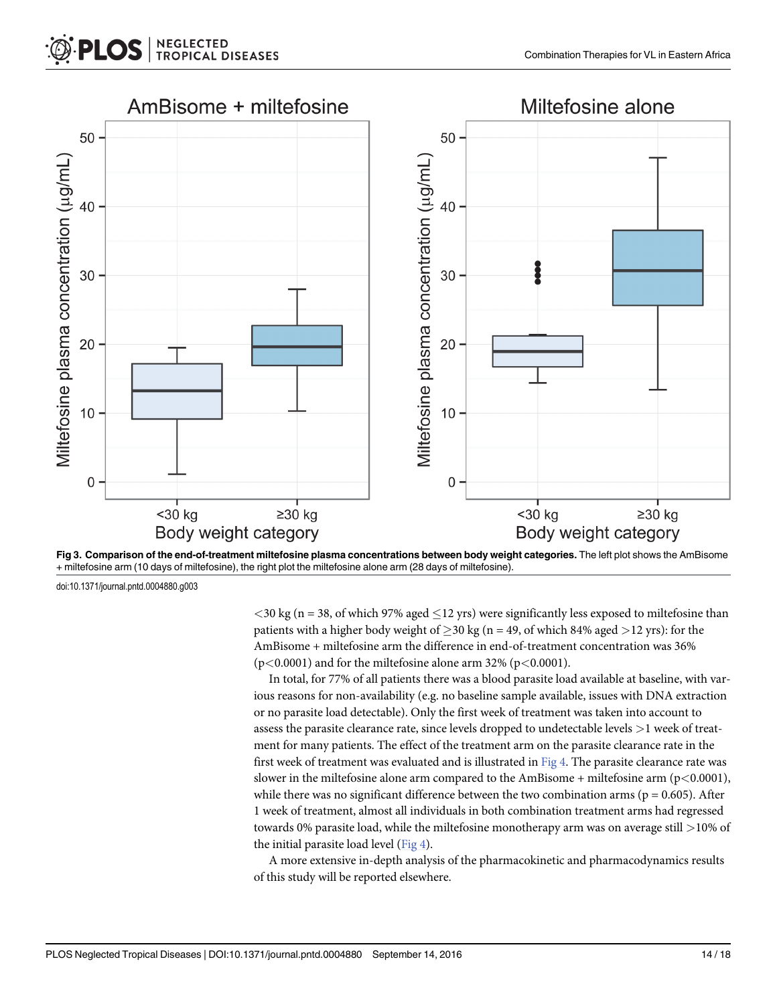<span id="page-13-0"></span>



doi:10.1371/journal.pntd.0004880.g003

 $<$ 30 kg (n = 38, of which 97% aged  $\leq$ 12 yrs) were significantly less exposed to miltefosine than patients with a higher body weight of  $\geq$  30 kg (n = 49, of which 84% aged  $>$  12 yrs): for the AmBisome + miltefosine arm the difference in end-of-treatment concentration was 36%  $(p<0.0001)$  and for the miltefosine alone arm 32% ( $p<0.0001$ ).

In total, for 77% of all patients there was a blood parasite load available at baseline, with various reasons for non-availability (e.g. no baseline sample available, issues with DNA extraction or no parasite load detectable). Only the first week of treatment was taken into account to assess the parasite clearance rate, since levels dropped to undetectable levels >1 week of treatment for many patients. The effect of the treatment arm on the parasite clearance rate in the first week of treatment was evaluated and is illustrated in [Fig 4.](#page-14-0) The parasite clearance rate was slower in the miltefosine alone arm compared to the AmBisome + miltefosine arm ( $p$ <0.0001), while there was no significant difference between the two combination arms ( $p = 0.605$ ). After 1 week of treatment, almost all individuals in both combination treatment arms had regressed towards 0% parasite load, while the miltefosine monotherapy arm was on average still >10% of the initial parasite load level  $(Fig 4)$ .

A more extensive in-depth analysis of the pharmacokinetic and pharmacodynamics results of this study will be reported elsewhere.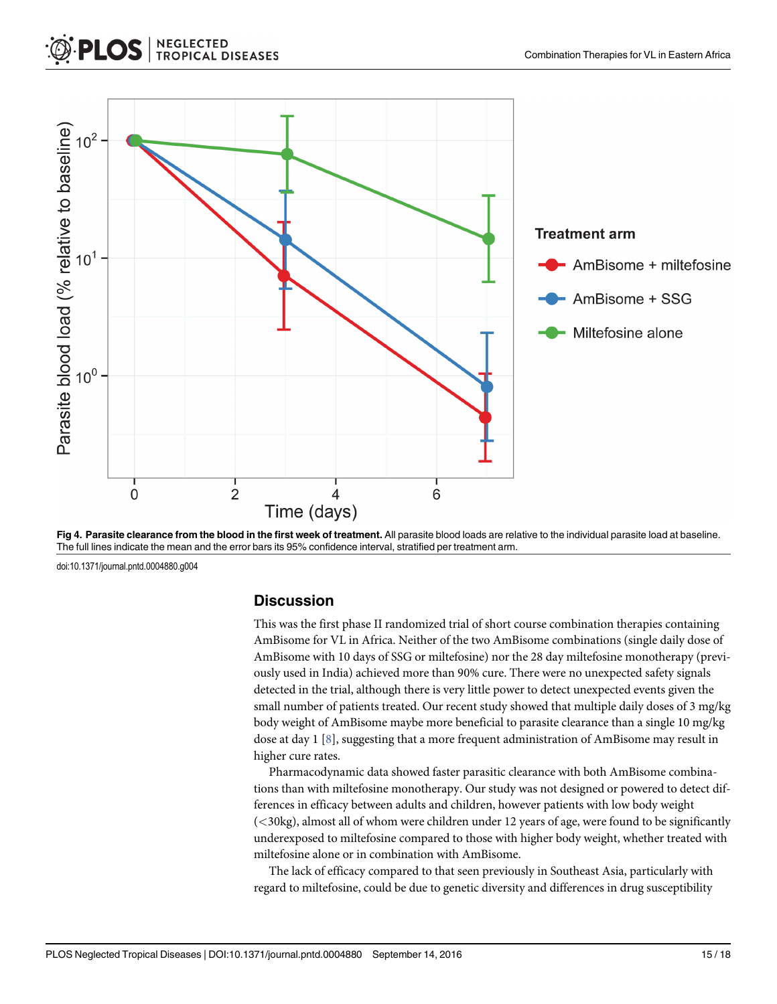<span id="page-14-0"></span>

[Fig 4.](#page-13-0) Parasite clearance from the blood in the first week of treatment. All parasite blood loads are relative to the individual parasite load at baseline. The full lines indicate the mean and the error bars its 95% confidence interval, stratified per treatment arm.

doi:10.1371/journal.pntd.0004880.g004

### **Discussion**

This was the first phase II randomized trial of short course combination therapies containing AmBisome for VL in Africa. Neither of the two AmBisome combinations (single daily dose of AmBisome with 10 days of SSG or miltefosine) nor the 28 day miltefosine monotherapy (previously used in India) achieved more than 90% cure. There were no unexpected safety signals detected in the trial, although there is very little power to detect unexpected events given the small number of patients treated. Our recent study showed that multiple daily doses of 3 mg/kg body weight of AmBisome maybe more beneficial to parasite clearance than a single 10 mg/kg dose at day  $1 \&es$ , suggesting that a more frequent administration of AmBisome may result in higher cure rates.

Pharmacodynamic data showed faster parasitic clearance with both AmBisome combinations than with miltefosine monotherapy. Our study was not designed or powered to detect differences in efficacy between adults and children, however patients with low body weight (<30kg), almost all of whom were children under 12 years of age, were found to be significantly underexposed to miltefosine compared to those with higher body weight, whether treated with miltefosine alone or in combination with AmBisome.

The lack of efficacy compared to that seen previously in Southeast Asia, particularly with regard to miltefosine, could be due to genetic diversity and differences in drug susceptibility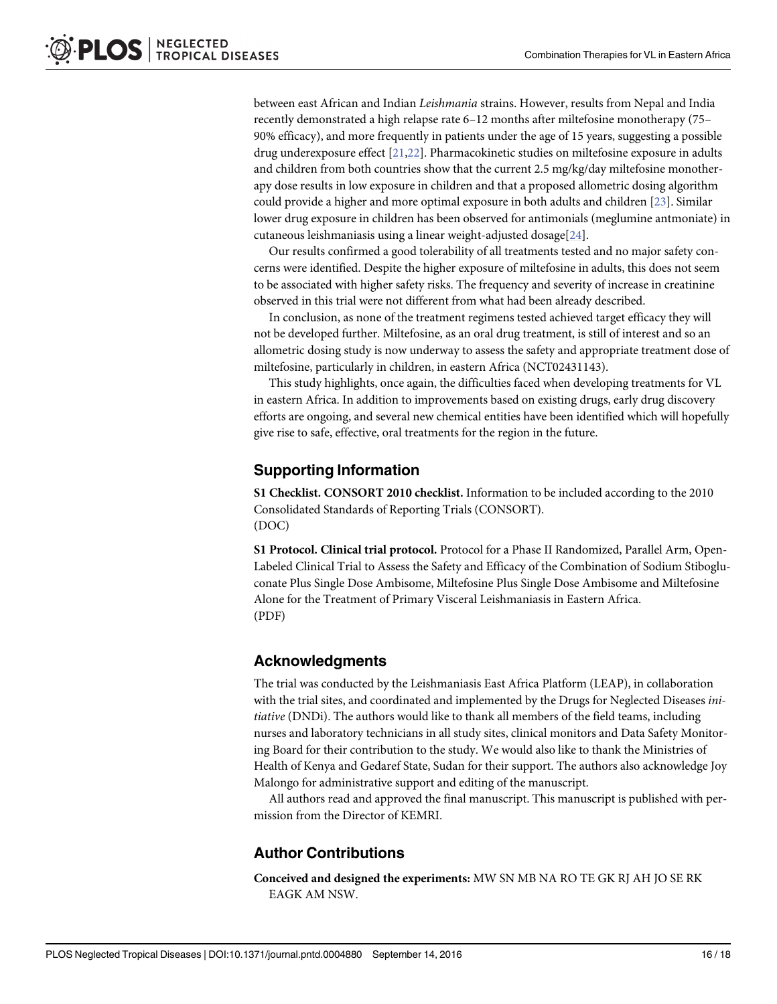<span id="page-15-0"></span>between east African and Indian Leishmania strains. However, results from Nepal and India recently demonstrated a high relapse rate 6–12 months after miltefosine monotherapy (75– 90% efficacy), and more frequently in patients under the age of 15 years, suggesting a possible drug underexposure effect [\[21,22\]](#page-17-0). Pharmacokinetic studies on miltefosine exposure in adults and children from both countries show that the current 2.5 mg/kg/day miltefosine monotherapy dose results in low exposure in children and that a proposed allometric dosing algorithm could provide a higher and more optimal exposure in both adults and children [[23](#page-17-0)]. Similar lower drug exposure in children has been observed for antimonials (meglumine antmoniate) in cutaneous leishmaniasis using a linear weight-adjusted dosage[[24\]](#page-17-0).

Our results confirmed a good tolerability of all treatments tested and no major safety concerns were identified. Despite the higher exposure of miltefosine in adults, this does not seem to be associated with higher safety risks. The frequency and severity of increase in creatinine observed in this trial were not different from what had been already described.

In conclusion, as none of the treatment regimens tested achieved target efficacy they will not be developed further. Miltefosine, as an oral drug treatment, is still of interest and so an allometric dosing study is now underway to assess the safety and appropriate treatment dose of miltefosine, particularly in children, in eastern Africa (NCT02431143).

This study highlights, once again, the difficulties faced when developing treatments for VL in eastern Africa. In addition to improvements based on existing drugs, early drug discovery efforts are ongoing, and several new chemical entities have been identified which will hopefully give rise to safe, effective, oral treatments for the region in the future.

### Supporting Information

[S1 Checklist.](http://journals.plos.org/plosntds/article/asset?unique&id=info:doi/10.1371/journal.pntd.0004880.s001) CONSORT 2010 checklist. Information to be included according to the 2010 Consolidated Standards of Reporting Trials (CONSORT). (DOC)

[S1 Protocol.](http://journals.plos.org/plosntds/article/asset?unique&id=info:doi/10.1371/journal.pntd.0004880.s002) Clinical trial protocol. Protocol for a Phase II Randomized, Parallel Arm, Open-Labeled Clinical Trial to Assess the Safety and Efficacy of the Combination of Sodium Stibogluconate Plus Single Dose Ambisome, Miltefosine Plus Single Dose Ambisome and Miltefosine Alone for the Treatment of Primary Visceral Leishmaniasis in Eastern Africa. (PDF)

### Acknowledgments

The trial was conducted by the Leishmaniasis East Africa Platform (LEAP), in collaboration with the trial sites, and coordinated and implemented by the Drugs for Neglected Diseases initiative (DNDi). The authors would like to thank all members of the field teams, including nurses and laboratory technicians in all study sites, clinical monitors and Data Safety Monitoring Board for their contribution to the study. We would also like to thank the Ministries of Health of Kenya and Gedaref State, Sudan for their support. The authors also acknowledge Joy Malongo for administrative support and editing of the manuscript.

All authors read and approved the final manuscript. This manuscript is published with permission from the Director of KEMRI.

# Author Contributions

Conceived and designed the experiments: MW SN MB NA RO TE GK RJ AH JO SE RK EAGK AM NSW.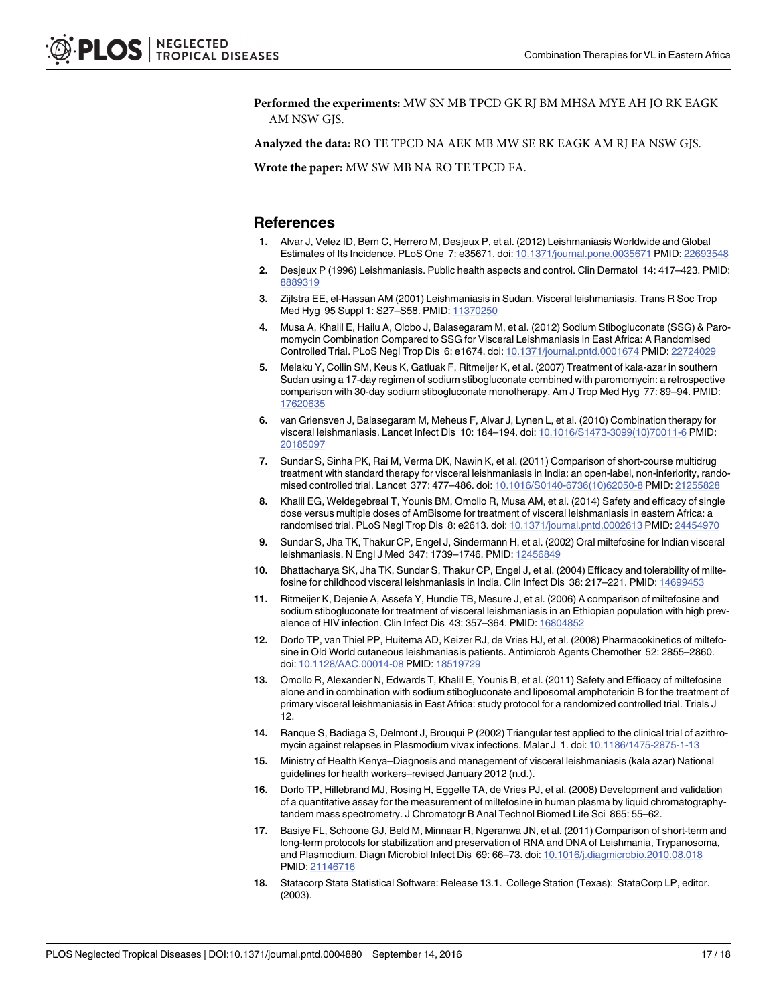<span id="page-16-0"></span>Performed the experiments: MW SN MB TPCD GK RJ BM MHSA MYE AH JO RK EAGK AM NSW GJS.

Analyzed the data: RO TE TPCD NA AEK MB MW SE RK EAGK AM RJ FA NSW GJS.

Wrote the paper: MW SW MB NA RO TE TPCD FA.

### **References**

- [1.](#page-1-0) Alvar J, Velez ID, Bern C, Herrero M, Desjeux P, et al. (2012) Leishmaniasis Worldwide and Global Estimates of Its Incidence. PLoS One 7: e35671. doi: [10.1371/journal.pone.0035671](http://dx.doi.org/10.1371/journal.pone.0035671) PMID: [22693548](http://www.ncbi.nlm.nih.gov/pubmed/22693548)
- [2.](#page-1-0) Desjeux P (1996) Leishmaniasis. Public health aspects and control. Clin Dermatol 14: 417–423. PMID: [8889319](http://www.ncbi.nlm.nih.gov/pubmed/8889319)
- [3.](#page-1-0) Zijlstra EE, el-Hassan AM (2001) Leishmaniasis in Sudan. Visceral leishmaniasis. Trans R Soc Trop Med Hyg 95 Suppl 1: S27–S58. PMID: [11370250](http://www.ncbi.nlm.nih.gov/pubmed/11370250)
- [4.](#page-2-0) Musa A, Khalil E, Hailu A, Olobo J, Balasegaram M, et al. (2012) Sodium Stibogluconate (SSG) & Paromomycin Combination Compared to SSG for Visceral Leishmaniasis in East Africa: A Randomised Controlled Trial. PLoS Negl Trop Dis 6: e1674. doi: [10.1371/journal.pntd.0001674](http://dx.doi.org/10.1371/journal.pntd.0001674) PMID: [22724029](http://www.ncbi.nlm.nih.gov/pubmed/22724029)
- [5.](#page-2-0) Melaku Y, Collin SM, Keus K, Gatluak F, Ritmeijer K, et al. (2007) Treatment of kala-azar in southern Sudan using a 17-day regimen of sodium stibogluconate combined with paromomycin: a retrospective comparison with 30-day sodium stibogluconate monotherapy. Am J Trop Med Hyg 77: 89–94. PMID: [17620635](http://www.ncbi.nlm.nih.gov/pubmed/17620635)
- [6.](#page-2-0) van Griensven J, Balasegaram M, Meheus F, Alvar J, Lynen L, et al. (2010) Combination therapy for visceral leishmaniasis. Lancet Infect Dis 10: 184–194. doi: [10.1016/S1473-3099\(10\)70011-6](http://dx.doi.org/10.1016/S1473-3099(10)70011-6) PMID: [20185097](http://www.ncbi.nlm.nih.gov/pubmed/20185097)
- [7.](#page-2-0) Sundar S, Sinha PK, Rai M, Verma DK, Nawin K, et al. (2011) Comparison of short-course multidrug treatment with standard therapy for visceral leishmaniasis in India: an open-label, non-inferiority, randomised controlled trial. Lancet 377: 477–486. doi: [10.1016/S0140-6736\(10\)62050-8](http://dx.doi.org/10.1016/S0140-6736(10)62050-8) PMID: [21255828](http://www.ncbi.nlm.nih.gov/pubmed/21255828)
- [8.](#page-14-0) Khalil EG, Weldegebreal T, Younis BM, Omollo R, Musa AM, et al. (2014) Safety and efficacy of single dose versus multiple doses of AmBisome for treatment of visceral leishmaniasis in eastern Africa: a randomised trial. PLoS Negl Trop Dis 8: e2613. doi: [10.1371/journal.pntd.0002613](http://dx.doi.org/10.1371/journal.pntd.0002613) PMID: [24454970](http://www.ncbi.nlm.nih.gov/pubmed/24454970)
- [9.](#page-2-0) Sundar S, Jha TK, Thakur CP, Engel J, Sindermann H, et al. (2002) Oral miltefosine for Indian visceral leishmaniasis. N Engl J Med 347: 1739–1746. PMID: [12456849](http://www.ncbi.nlm.nih.gov/pubmed/12456849)
- [10.](#page-2-0) Bhattacharya SK, Jha TK, Sundar S, Thakur CP, Engel J, et al. (2004) Efficacy and tolerability of miltefosine for childhood visceral leishmaniasis in India. Clin Infect Dis 38: 217–221. PMID: [14699453](http://www.ncbi.nlm.nih.gov/pubmed/14699453)
- [11.](#page-2-0) Ritmeijer K, Dejenie A, Assefa Y, Hundie TB, Mesure J, et al. (2006) A comparison of miltefosine and sodium stibogluconate for treatment of visceral leishmaniasis in an Ethiopian population with high prevalence of HIV infection. Clin Infect Dis 43: 357–364. PMID: [16804852](http://www.ncbi.nlm.nih.gov/pubmed/16804852)
- [12.](#page-2-0) Dorlo TP, van Thiel PP, Huitema AD, Keizer RJ, de Vries HJ, et al. (2008) Pharmacokinetics of miltefosine in Old World cutaneous leishmaniasis patients. Antimicrob Agents Chemother 52: 2855–2860. doi: [10.1128/AAC.00014-08](http://dx.doi.org/10.1128/AAC.00014-08) PMID: [18519729](http://www.ncbi.nlm.nih.gov/pubmed/18519729)
- [13.](#page-2-0) Omollo R, Alexander N, Edwards T, Khalil E, Younis B, et al. (2011) Safety and Efficacy of miltefosine alone and in combination with sodium stibogluconate and liposomal amphotericin B for the treatment of primary visceral leishmaniasis in East Africa: study protocol for a randomized controlled trial. Trials J 12.
- [14.](#page-2-0) Ranque S, Badiaga S, Delmont J, Brouqui P (2002) Triangular test applied to the clinical trial of azithromycin against relapses in Plasmodium vivax infections. Malar J 1. doi: [10.1186/1475-2875-1-13](http://dx.doi.org/10.1186/1475-2875-1-13)
- [15.](#page-4-0) Ministry of Health Kenya–Diagnosis and management of visceral leishmaniasis (kala azar) National guidelines for health workers–revised January 2012 (n.d.).
- [16.](#page-5-0) Dorlo TP, Hillebrand MJ, Rosing H, Eggelte TA, de Vries PJ, et al. (2008) Development and validation of a quantitative assay for the measurement of miltefosine in human plasma by liquid chromatographytandem mass spectrometry. J Chromatogr B Anal Technol Biomed Life Sci 865: 55–62.
- [17.](#page-5-0) Basiye FL, Schoone GJ, Beld M, Minnaar R, Ngeranwa JN, et al. (2011) Comparison of short-term and long-term protocols for stabilization and preservation of RNA and DNA of Leishmania, Trypanosoma, and Plasmodium. Diagn Microbiol Infect Dis 69: 66–73. doi: [10.1016/j.diagmicrobio.2010.08.018](http://dx.doi.org/10.1016/j.diagmicrobio.2010.08.018) PMID: [21146716](http://www.ncbi.nlm.nih.gov/pubmed/21146716)
- [18.](#page-5-0) Statacorp Stata Statistical Software: Release 13.1. College Station (Texas): StataCorp LP, editor. (2003).